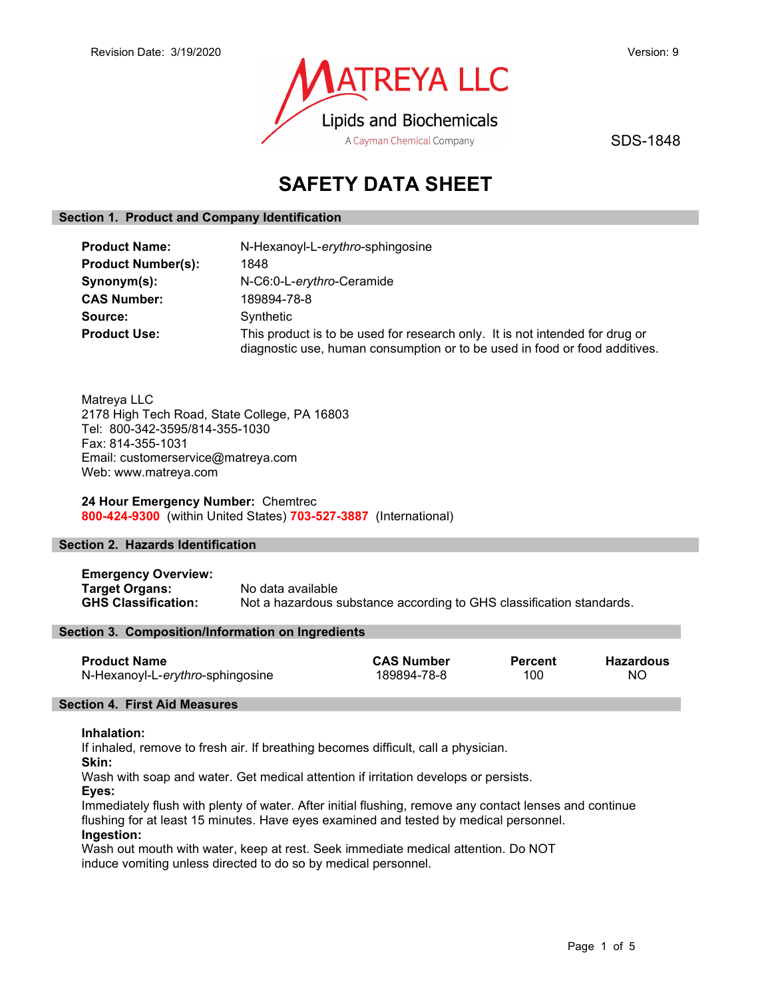

SDS-1848

# SAFETY DATA SHEET

## Section 1. Product and Company Identification

| <b>Product Name:</b>      | N-Hexanoyl-L-erythro-sphingosine                                                                                                                           |  |  |
|---------------------------|------------------------------------------------------------------------------------------------------------------------------------------------------------|--|--|
| <b>Product Number(s):</b> | 1848                                                                                                                                                       |  |  |
| Synonym(s):               | N-C6:0-L-erythro-Ceramide                                                                                                                                  |  |  |
| <b>CAS Number:</b>        | 189894-78-8                                                                                                                                                |  |  |
| Source:                   | Synthetic                                                                                                                                                  |  |  |
| <b>Product Use:</b>       | This product is to be used for research only. It is not intended for drug or<br>diagnostic use, human consumption or to be used in food or food additives. |  |  |

Matreya LLC 2178 High Tech Road, State College, PA 16803 Tel: 800-342-3595/814-355-1030 Fax: 814-355-1031 Email: customerservice@matreya.com Web: www.matreya.com

## 24 Hour Emergency Number: Chemtrec 800-424-9300 (within United States) 703-527-3887 (International)

## Section 2. Hazards Identification

Emergency Overview: Target Organs: No data available GHS Classification: Not a hazardous substance according to GHS classification standards.

## Section 3. Composition/Information on Ingredients

| <b>Product Name</b>              | <b>CAS Number</b> | Percent | Hazardous |
|----------------------------------|-------------------|---------|-----------|
| N-Hexanoyl-L-erythro-sphingosine | 189894-78-8       | 100     | ΝO        |

## Section 4. First Aid Measures

#### Inhalation:

If inhaled, remove to fresh air. If breathing becomes difficult, call a physician.

Skin:

Wash with soap and water. Get medical attention if irritation develops or persists.

Eyes:

Immediately flush with plenty of water. After initial flushing, remove any contact lenses and continue flushing for at least 15 minutes. Have eyes examined and tested by medical personnel. Ingestion:

Wash out mouth with water, keep at rest. Seek immediate medical attention. Do NOT induce vomiting unless directed to do so by medical personnel.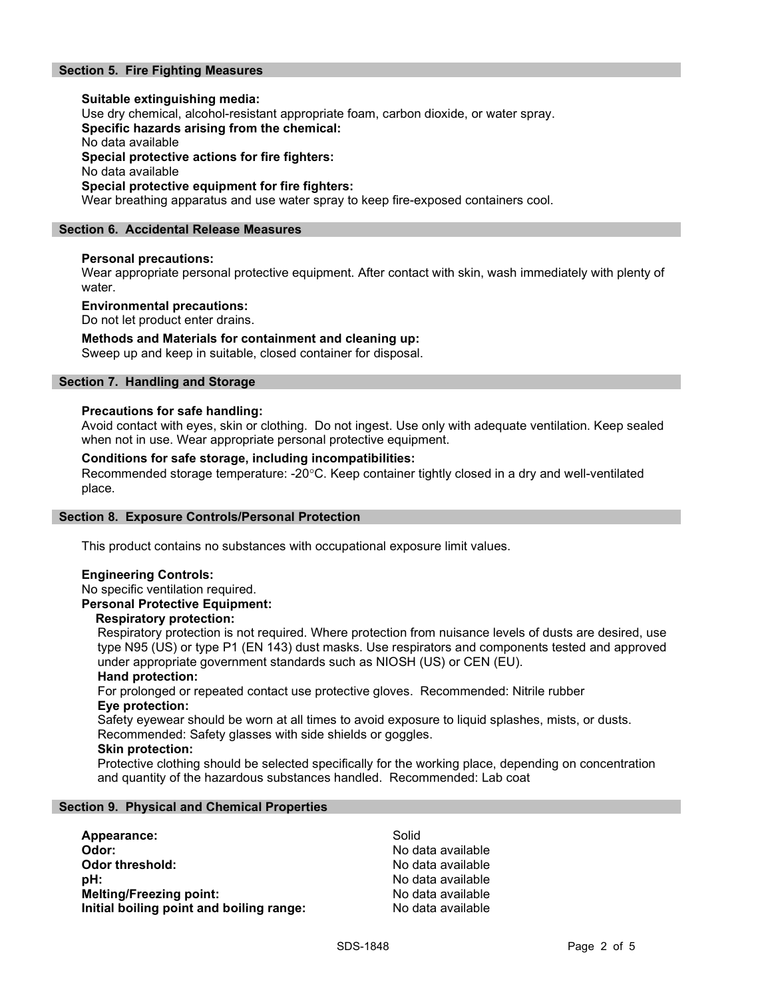## Section 5. Fire Fighting Measures

Suitable extinguishing media: Use dry chemical, alcohol-resistant appropriate foam, carbon dioxide, or water spray. Specific hazards arising from the chemical: No data available Special protective actions for fire fighters: No data available Special protective equipment for fire fighters: Wear breathing apparatus and use water spray to keep fire-exposed containers cool.

#### Section 6. Accidental Release Measures

#### Personal precautions:

Wear appropriate personal protective equipment. After contact with skin, wash immediately with plenty of water.

#### Environmental precautions:

Do not let product enter drains.

#### Methods and Materials for containment and cleaning up:

Sweep up and keep in suitable, closed container for disposal.

## Section 7. Handling and Storage

#### Precautions for safe handling:

Avoid contact with eyes, skin or clothing. Do not ingest. Use only with adequate ventilation. Keep sealed when not in use. Wear appropriate personal protective equipment.

#### Conditions for safe storage, including incompatibilities:

Recommended storage temperature: -20°C. Keep container tightly closed in a dry and well-ventilated place.

#### Section 8. Exposure Controls/Personal Protection

This product contains no substances with occupational exposure limit values.

## Engineering Controls:

No specific ventilation required.

## Personal Protective Equipment:

#### Respiratory protection:

Respiratory protection is not required. Where protection from nuisance levels of dusts are desired, use type N95 (US) or type P1 (EN 143) dust masks. Use respirators and components tested and approved under appropriate government standards such as NIOSH (US) or CEN (EU).

#### Hand protection:

For prolonged or repeated contact use protective gloves. Recommended: Nitrile rubber Eye protection:

Safety eyewear should be worn at all times to avoid exposure to liquid splashes, mists, or dusts. Recommended: Safety glasses with side shields or goggles.

#### Skin protection:

Protective clothing should be selected specifically for the working place, depending on concentration and quantity of the hazardous substances handled. Recommended: Lab coat

#### Section 9. Physical and Chemical Properties

| Appearance:                              | Solid             |
|------------------------------------------|-------------------|
| Odor:                                    | No data available |
| Odor threshold:                          | No data available |
| pH:                                      | No data available |
| <b>Melting/Freezing point:</b>           | No data available |
| Initial boiling point and boiling range: | No data available |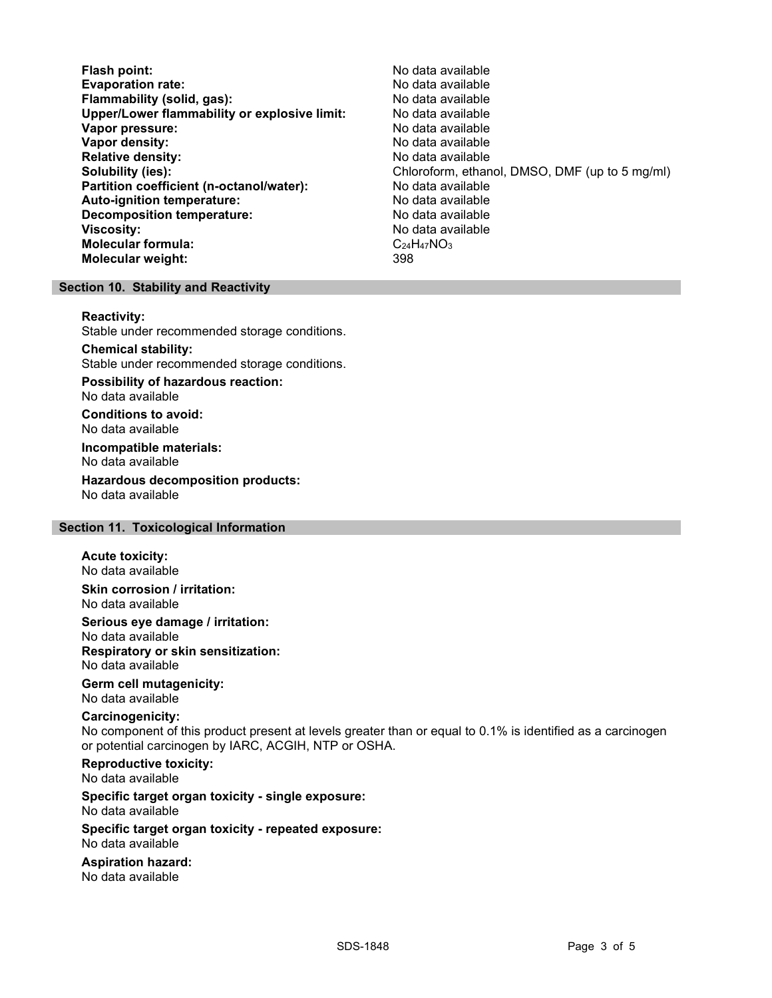Flash point:<br>
Evaporation rate: No data available<br>
No data available Evaporation rate:<br>
Flammability (solid. gas): No data available Flammability (solid, gas): Upper/Lower flammability or explosive limit: No data available Vapor pressure: No data available **Vapor density:** No data available in the set of the set of the No data available Relative density: No data available Partition coefficient (n-octanol/water): No data available Auto-ignition temperature: No data available Decomposition temperature: **Viscosity:** No data available and the set of the set of the set of the set of the set of the set of the set of the set of the set of the set of the set of the set of the set of the set of the set of the set of the set of Molecular formula:  $C_24H_47NO_3$ <br>Molecular weight:  $398$ Molecular weight:

Solubility (ies): Chloroform, ethanol, DMSO, DMF (up to 5 mg/ml)

## Section 10. Stability and Reactivity

#### Reactivity:

Stable under recommended storage conditions.

Chemical stability: Stable under recommended storage conditions.

Possibility of hazardous reaction: No data available

Conditions to avoid: No data available

Incompatible materials: No data available

Hazardous decomposition products: No data available

### Section 11. Toxicological Information

#### Acute toxicity:

No data available Skin corrosion / irritation:

No data available

Serious eye damage / irritation:

No data available Respiratory or skin sensitization: No data available

## Germ cell mutagenicity:

No data available

## Carcinogenicity:

No component of this product present at levels greater than or equal to 0.1% is identified as a carcinogen or potential carcinogen by IARC, ACGIH, NTP or OSHA.

Reproductive toxicity: No data available

Specific target organ toxicity - single exposure: No data available

#### Specific target organ toxicity - repeated exposure: No data available

Aspiration hazard: No data available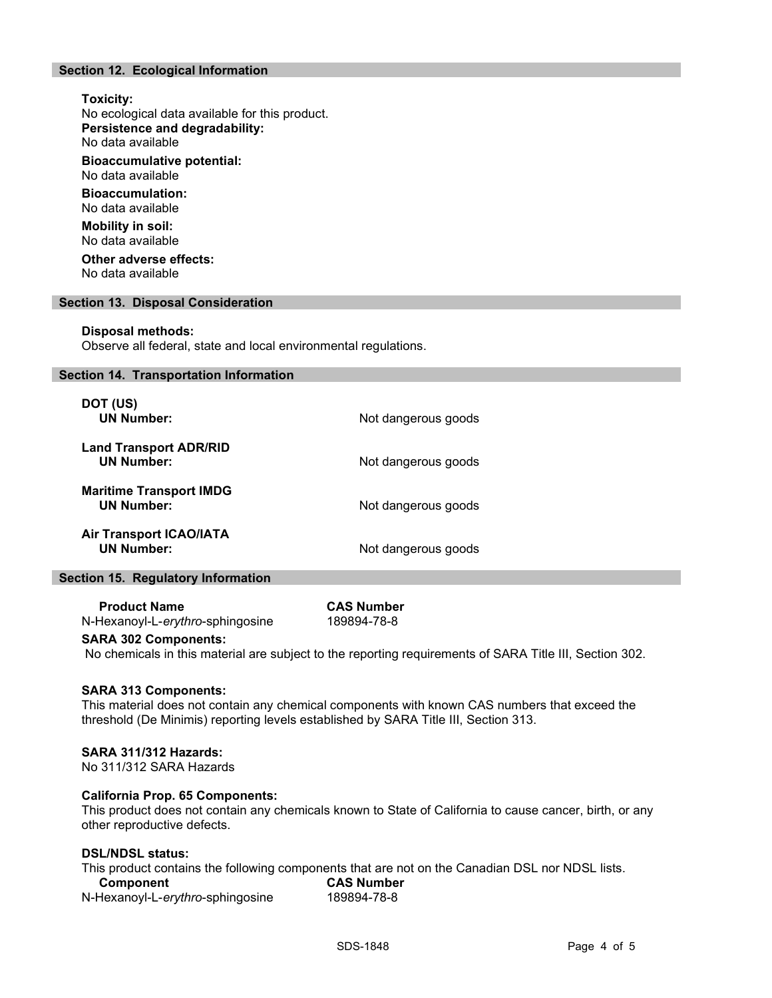## Section 12. Ecological Information

## Toxicity: No ecological data available for this product. Persistence and degradability: No data available Bioaccumulative potential: No data available Bioaccumulation: No data available

Mobility in soil: No data available

Other adverse effects: No data available

#### Section 13. Disposal Consideration

#### Disposal methods:

Observe all federal, state and local environmental regulations.

#### Section 14. Transportation Information

| DOT (US)<br><b>UN Number:</b>                       | Not dangerous goods |
|-----------------------------------------------------|---------------------|
| <b>Land Transport ADR/RID</b><br><b>UN Number:</b>  | Not dangerous goods |
| <b>Maritime Transport IMDG</b><br><b>UN Number:</b> | Not dangerous goods |
| <b>Air Transport ICAO/IATA</b><br><b>UN Number:</b> | Not dangerous goods |

#### Section 15. Regulatory Information

Product Name CAS Number N-Hexanoyl-L-erythro-sphingosine 189894-78-8

### SARA 302 Components:

No chemicals in this material are subject to the reporting requirements of SARA Title III, Section 302.

#### SARA 313 Components:

This material does not contain any chemical components with known CAS numbers that exceed the threshold (De Minimis) reporting levels established by SARA Title III, Section 313.

#### SARA 311/312 Hazards:

No 311/312 SARA Hazards

#### California Prop. 65 Components:

This product does not contain any chemicals known to State of California to cause cancer, birth, or any other reproductive defects.

## DSL/NDSL status:

This product contains the following components that are not on the Canadian DSL nor NDSL lists.

| Component                        | <b>CAS Number</b> |  |
|----------------------------------|-------------------|--|
| N-Hexanoyl-L-erythro-sphingosine | 189894-78-8       |  |